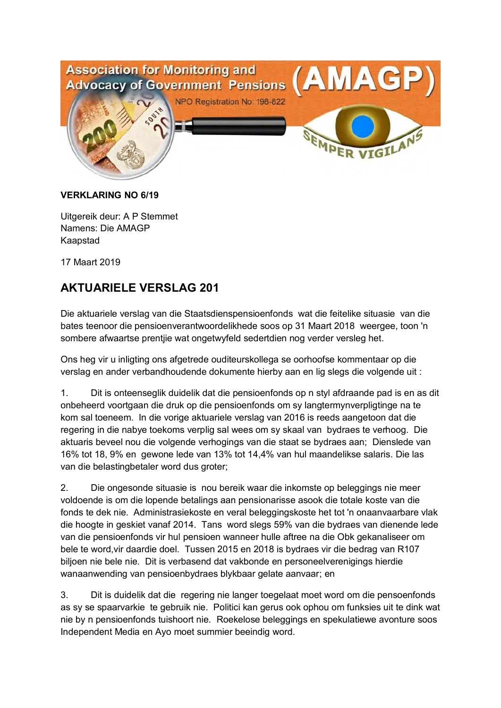

#### **VERKLARING NO 6/19**

Uitgereik deur: A P Stemmet Namens: Die AMAGP Kaapstad

17 Maart 2019

## **AKTUARIELE VERSLAG 201**

Die aktuariele verslag van die Staatsdienspensioenfonds wat die feitelike situasie van die bates teenoor die pensioenverantwoordelikhede soos op 31 Maart 2018 weergee, toon 'n sombere afwaartse prentjie wat ongetwyfeld sedertdien nog verder versleg het.

Ons heg vir u inligting ons afgetrede ouditeurskollega se oorhoofse kommentaar op die verslag en ander verbandhoudende dokumente hierby aan en lig slegs die volgende uit :

1. Dit is onteenseglik duidelik dat die pensioenfonds op n styl afdraande pad is en as dit onbeheerd voortgaan die druk op die pensioenfonds om sy langtermynverpligtinge na te kom sal toeneem. In die vorige aktuariele verslag van 2016 is reeds aangetoon dat die regering in die nabye toekoms verplig sal wees om sy skaal van bydraes te verhoog. Die aktuaris beveel nou die volgende verhogings van die staat se bydraes aan; Dienslede van 16% tot 18, 9% en gewone lede van 13% tot 14,4% van hul maandelikse salaris. Die las van die belastingbetaler word dus groter;

2. Die ongesonde situasie is nou bereik waar die inkomste op beleggings nie meer voldoende is om die lopende betalings aan pensionarisse asook die totale koste van die fonds te dek nie. Administrasiekoste en veral beleggingskoste het tot 'n onaanvaarbare vlak die hoogte in geskiet vanaf 2014. Tans word slegs 59% van die bydraes van dienende lede van die pensioenfonds vir hul pensioen wanneer hulle aftree na die Obk gekanaliseer om bele te word,vir daardie doel. Tussen 2015 en 2018 is bydraes vir die bedrag van R107 biljoen nie bele nie. Dit is verbasend dat vakbonde en personeelverenigings hierdie wanaanwending van pensioenbydraes blykbaar gelate aanvaar; en

3. Dit is duidelik dat die regering nie langer toegelaat moet word om die pensoenfonds as sy se spaarvarkie te gebruik nie. Politici kan gerus ook ophou om funksies uit te dink wat nie by n pensioenfonds tuishoort nie. Roekelose beleggings en spekulatiewe avonture soos Independent Media en Ayo moet summier beeindig word.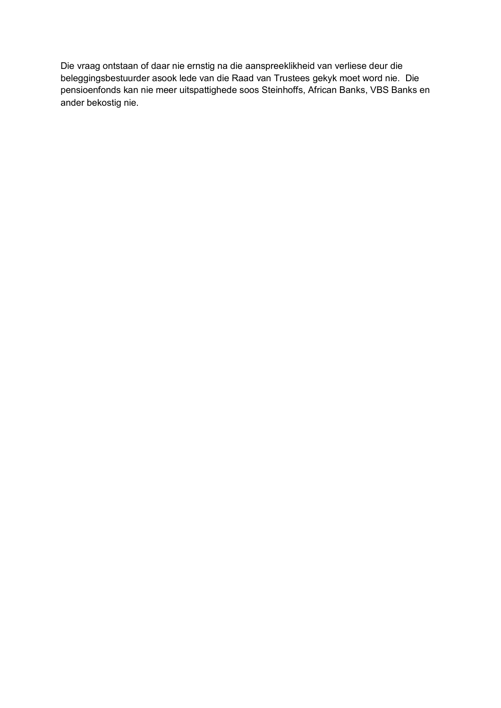Die vraag ontstaan of daar nie ernstig na die aanspreeklikheid van verliese deur die beleggingsbestuurder asook lede van die Raad van Trustees gekyk moet word nie. Die pensioenfonds kan nie meer uitspattighede soos Steinhoffs, African Banks, VBS Banks en ander bekostig nie.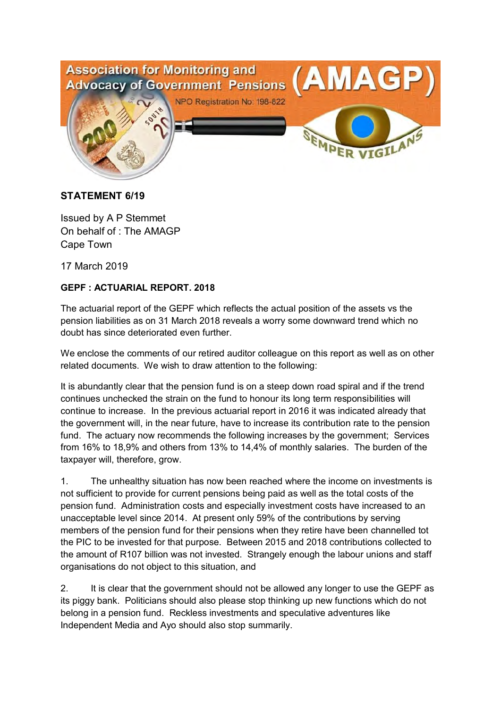

#### **STATEMENT 6/19**

Issued by A P Stemmet On behalf of : The AMAGP Cape Town

17 March 2019

#### **GEPF : ACTUARIAL REPORT. 2018**

The actuarial report of the GEPF which reflects the actual position of the assets vs the pension liabilities as on 31 March 2018 reveals a worry some downward trend which no doubt has since deteriorated even further.

We enclose the comments of our retired auditor colleague on this report as well as on other related documents. We wish to draw attention to the following:

It is abundantly clear that the pension fund is on a steep down road spiral and if the trend continues unchecked the strain on the fund to honour its long term responsibilities will continue to increase. In the previous actuarial report in 2016 it was indicated already that the government will, in the near future, have to increase its contribution rate to the pension fund. The actuary now recommends the following increases by the government; Services from 16% to 18,9% and others from 13% to 14,4% of monthly salaries. The burden of the taxpayer will, therefore, grow.

1. The unhealthy situation has now been reached where the income on investments is not sufficient to provide for current pensions being paid as well as the total costs of the pension fund. Administration costs and especially investment costs have increased to an unacceptable level since 2014. At present only 59% of the contributions by serving members of the pension fund for their pensions when they retire have been channelled tot the PIC to be invested for that purpose. Between 2015 and 2018 contributions collected to the amount of R107 billion was not invested. Strangely enough the labour unions and staff organisations do not object to this situation, and

2. It is clear that the government should not be allowed any longer to use the GEPF as its piggy bank. Politicians should also please stop thinking up new functions which do not belong in a pension fund. Reckless investments and speculative adventures like Independent Media and Ayo should also stop summarily.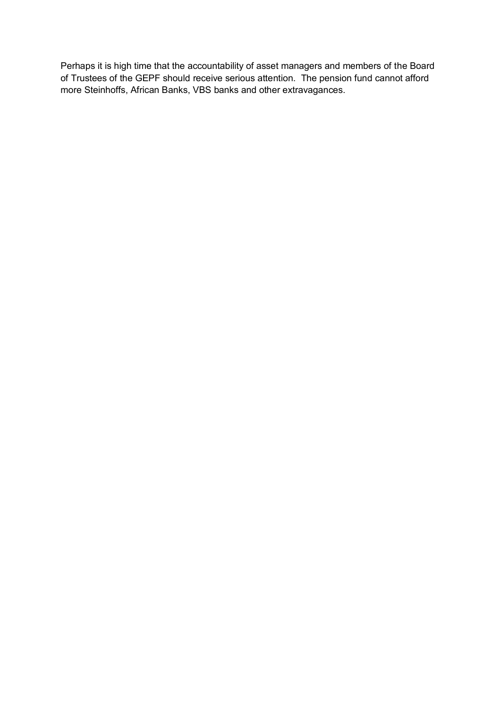Perhaps it is high time that the accountability of asset managers and members of the Board of Trustees of the GEPF should receive serious attention. The pension fund cannot afford more Steinhoffs, African Banks, VBS banks and other extravagances.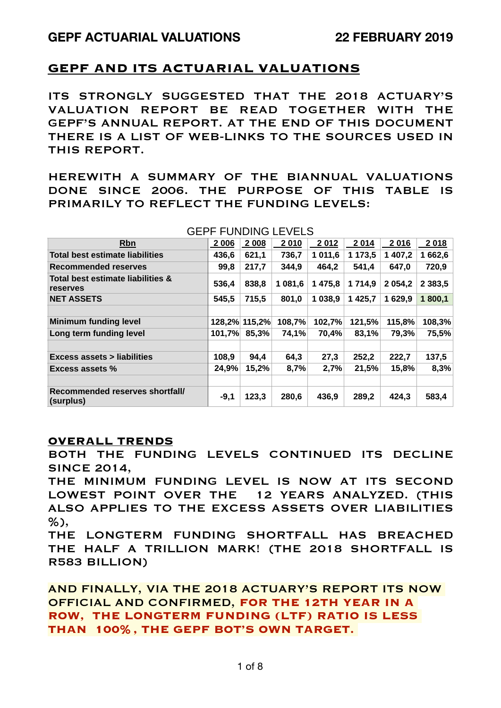## **GEPF AND ITS ACTUARIAL VALUATIONS**

ITS STRONGLY SUGGESTED THAT THE 2018 ACTUARY'S VALUATION REPORT BE READ TOGETHER WITH THE GEPF'S ANNUAL REPORT. AT THE END OF THIS DOCUMENT THERE IS A LIST OF WEB-LINKS TO THE SOURCES USED IN THIS REPORT.

HEREWITH A SUMMARY OF THE BIANNUAL VALUATIONS DONE SINCE 2006. THE PURPOSE OF THIS TABLE IS PRIMARILY TO REFLECT THE FUNDING LEVELS:

| <b>ULLI</b>                                   |         |               | T UNDING LEVELO |         |             |            |             |
|-----------------------------------------------|---------|---------------|-----------------|---------|-------------|------------|-------------|
| <b>Rbn</b>                                    | 2 0 0 6 | 2 0 0 8       | 2010            | 2012    | 2014        | 2016       | 2018        |
| Total best estimate liabilities               | 436,6   | 621,1         | 736,7           | 1 011,6 | 1 173,5     | 1 407,2    | 1662,6      |
| Recommended reserves                          | 99,8    | 217,7         | 344,9           | 464,2   | 541,4       | 647,0      | 720,9       |
| Total best estimate liabilities &<br>reserves | 536,4   | 838,8         | 1 081,6         | 1 475,8 | 1 7 1 4,9   | 2 0 5 4, 2 | 2 3 8 3 , 5 |
| <b>NET ASSETS</b>                             | 545,5   | 715,5         | 801,0           | 1 038,9 | 1 4 2 5 . 7 | 1 629.9    | 1800,1      |
|                                               |         |               |                 |         |             |            |             |
| <b>Minimum funding level</b>                  |         | 128,2% 115,2% | 108,7%          | 102,7%  | 121,5%      | 115,8%     | 108,3%      |
| Long term funding level                       | 101,7%  | 85,3%         | 74,1%           | 70,4%   | 83,1%       | 79,3%      | 75,5%       |
|                                               |         |               |                 |         |             |            |             |
| <b>Excess assets &gt; liabilities</b>         | 108,9   | 94,4          | 64,3            | 27,3    | 252,2       | 222,7      | 137,5       |
| Excess assets %                               | 24,9%   | 15,2%         | 8,7%            | 2,7%    | 21,5%       | 15,8%      | 8,3%        |
|                                               |         |               |                 |         |             |            |             |
| Recommended reserves shortfall/<br>(surplus)  | $-9,1$  | 123,3         | 280,6           | 436,9   | 289,2       | 424,3      | 583,4       |

#### GEPF FUNDING LEVELS

#### **OVERALL TRENDS**

BOTH THE FUNDING LEVELS CONTINUED ITS DECLINE SINCE 2014,

THE MINIMUM FUNDING LEVEL IS NOW AT ITS SECOND LOWEST POINT OVER THE 12 YEARS ANALYZED. (THIS ALSO APPLIES TO THE EXCESS ASSETS OVER LIABILITIES %),

THE LONGTERM FUNDING SHORTFALL HAS BREACHED THE HALF A TRILLION MARK! (THE 2018 SHORTFALL IS R583 BILLION)

AND FINALLY, VIA THE 2018 ACTUARY'S REPORT ITS NOW OFFICIAL AND CONFIRMED, **FOR THE 12TH YEAR IN A ROW, THE LONGTERM FUNDING (LTF) RATIO IS LESS THAN 100%, THE GEPF BOT'S OWN TARGET.**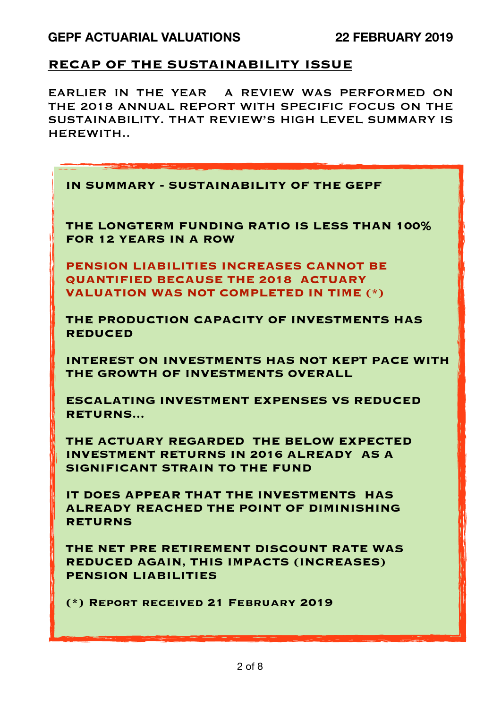## **RECAP OF THE SUSTAINABILITY ISSUE**

EARLIER IN THE YEAR A REVIEW WAS PERFORMED ON THE 2018 ANNUAL REPORT WITH SPECIFIC FOCUS ON THE SUSTAINABILITY. THAT REVIEW'S HIGH LEVEL SUMMARY IS HEREWITH..

| IN SUMMARY - SUSTAINABILITY OF THE GEPF                                                                                                        |
|------------------------------------------------------------------------------------------------------------------------------------------------|
| THE LONGTERM FUNDING RATIO IS LESS THAN 100%<br><b>FOR 12 YEARS IN A ROW</b>                                                                   |
| <b>PENSION LIABILITIES INCREASES CANNOT BE</b><br><b>QUANTIFIED BECAUSE THE 2018 ACTUARY</b><br><b>VALUATION WAS NOT COMPLETED IN TIME (*)</b> |
| THE PRODUCTION CAPACITY OF INVESTMENTS HAS<br><b>REDUCED</b>                                                                                   |
| INTEREST ON INVESTMENTS HAS NOT KEPT PACE WITH<br>THE GROWTH OF INVESTMENTS OVERALL                                                            |
| <b>ESCALATING INVESTMENT EXPENSES VS REDUCED</b><br><b>RETURNS</b>                                                                             |
| THE ACTUARY REGARDED THE BELOW EXPECTED<br><b>INVESTMENT RETURNS IN 2016 ALREADY AS A</b><br>SIGNIFICANT STRAIN TO THE FUND                    |
| IT DOES APPEAR THAT THE INVESTMENTS HAS<br>ALREADY REACHED THE POINT OF DIMINISHING<br><b>RETURNS</b>                                          |
| THE NET PRE RETIREMENT DISCOUNT RATE WAS<br>REDUCED AGAIN, THIS IMPACTS (INCREASES)<br><b>PENSION LIABILITIES</b>                              |
| (*) REPORT RECEIVED 21 FEBRUARY 2019                                                                                                           |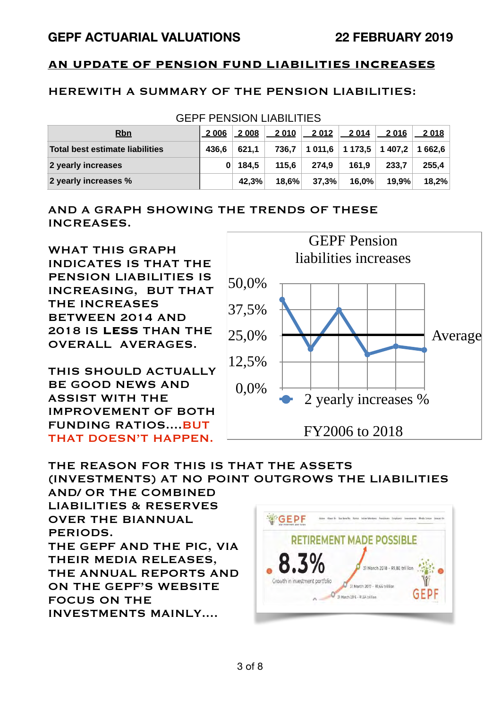## **AN UPDATE OF PENSION FUND LIABILITIES INCREASES**

### HEREWITH A SUMMARY OF THE PENSION LIABILITIES:

| <b>GEPF PENSION LIABILITIES</b> |              |       |          |         |                                |         |         |
|---------------------------------|--------------|-------|----------|---------|--------------------------------|---------|---------|
| <b>Rbn</b>                      | 2 0 0 6      | 2 008 | 2010     | 2 0 1 2 | 2014                           | 2 0 1 6 | 2018    |
| Total best estimate liabilities | 436,6        | 621.1 | 736.7    |         | $1\,011.6$   1 173.5   1 407.2 |         | 1 662.6 |
| 2 yearly increases              | $\mathbf{0}$ | 184.5 | 115.6    | 274.9   | 161.9                          | 233.7   | 255.4   |
| 2 yearly increases %            |              | 42.3% | $18.6\%$ | 37,3%   | 16,0%                          | 19.9%   | 18,2%   |

### AND A GRAPH SHOWING THE TRENDS OF THESE INCREASES.

WHAT THIS GRAPH INDICATES IS THAT THE PENSION LIABILITIES IS INCREASING, BUT THAT THE INCREASES BETWEEN 2014 AND 2018 IS **LESS** THAN THE OVERALL AVERAGES.

THIS SHOULD ACTUALLY BE GOOD NEWS AND ASSIST WITH THE IMPROVEMENT OF BOTH FUNDING RATIOS....BUT THAT DOESN'T HAPPEN.



#### THE REASON FOR THIS IS THAT THE ASSETS (INVESTMENTS) AT NO POINT OUTGROWS THE LIABILITIES

AND/ OR THE COMBINED LIABILITIES & RESERVES OVER THE BIANNUAL PERIODS. THE GEPF AND THE PIC, VIA THEIR MEDIA RELEASES, THE ANNUAL REPORTS AND ON THE GEPF'S WEBSITE FOCUS ON THE INVESTMENTS MAINLY....

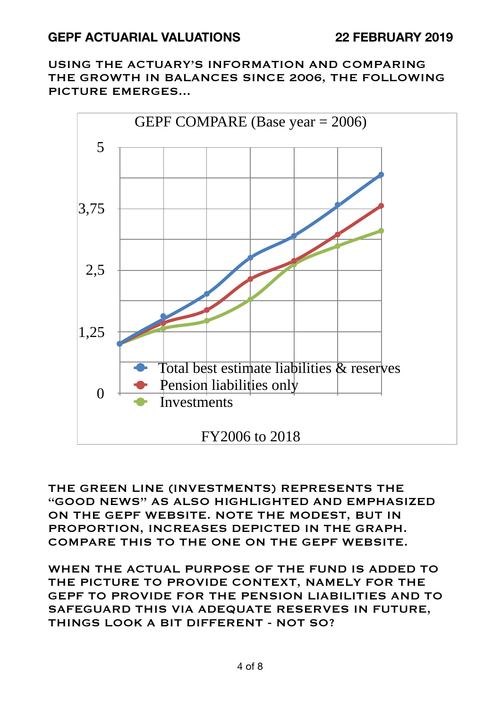USING THE ACTUARY'S INFORMATION AND COMPARING THE GROWTH IN BALANCES SINCE 2006, THE FOLLOWING PICTURE EMERGES...



THE GREEN LINE (INVESTMENTS) REPRESENTS THE "GOOD NEWS" AS ALSO HIGHLIGHTED AND EMPHASIZED ON THE GEPF WEBSITE. NOTE THE MODEST, BUT IN PROPORTION, INCREASES DEPICTED IN THE GRAPH. COMPARE THIS TO THE ONE ON THE GEPF WEBSITE.

WHEN THE ACTUAL PURPOSE OF THE FUND IS ADDED TO THE PICTURE TO PROVIDE CONTEXT, NAMELY FOR THE GEPF TO PROVIDE FOR THE PENSION LIABILITIES AND TO SAFEGUARD THIS VIA ADEQUATE RESERVES IN FUTURE, THINGS LOOK A BIT DIFFERENT - NOT SO?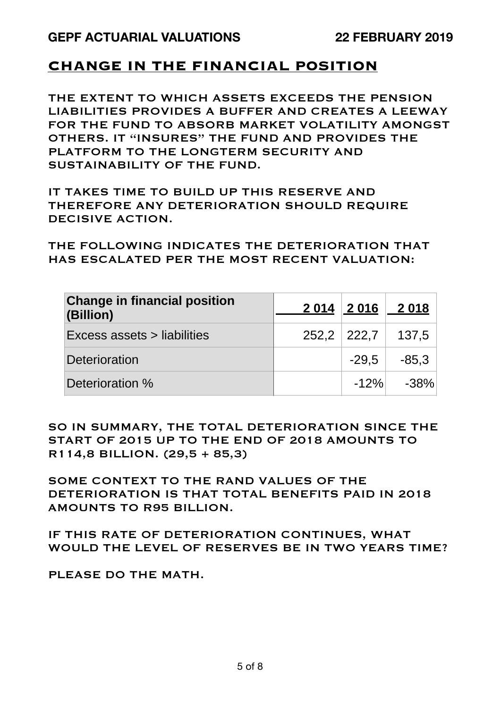## **CHANGE IN THE FINANCIAL POSITION**

THE EXTENT TO WHICH ASSETS EXCEEDS THE PENSION LIABILITIES PROVIDES A BUFFER AND CREATES A LEEWAY FOR THE FUND TO ABSORB MARKET VOLATILITY AMONGST OTHERS. IT "INSURES" THE FUND AND PROVIDES THE PLATFORM TO THE LONGTERM SECURITY AND SUSTAINABILITY OF THE FUND.

IT TAKES TIME TO BUILD UP THIS RESERVE AND THEREFORE ANY DETERIORATION SHOULD REQUIRE DECISIVE ACTION.

THE FOLLOWING INDICATES THE DETERIORATION THAT HAS ESCALATED PER THE MOST RECENT VALUATION:

| <b>Change in financial position</b><br>(Billion) |                 | 2 014 2 016 2 018 |
|--------------------------------------------------|-----------------|-------------------|
| Excess assets > liabilities                      | $252.2$   222.7 | 137,5             |
| <b>Deterioration</b>                             | $-29.5$         | $-85.3$           |
| Deterioration %                                  | $-12%$          | $-38\%$           |

SO IN SUMMARY, THE TOTAL DETERIORATION SINCE THE START OF 2015 UP TO THE END OF 2018 AMOUNTS TO R114,8 BILLION. (29,5 + 85,3)

SOME CONTEXT TO THE RAND VALUES OF THE DETERIORATION IS THAT TOTAL BENEFITS PAID IN 2018 AMOUNTS TO R95 BILLION.

IF THIS RATE OF DETERIORATION CONTINUES, WHAT WOULD THE LEVEL OF RESERVES BE IN TWO YEARS TIME?

PLEASE DO THE MATH.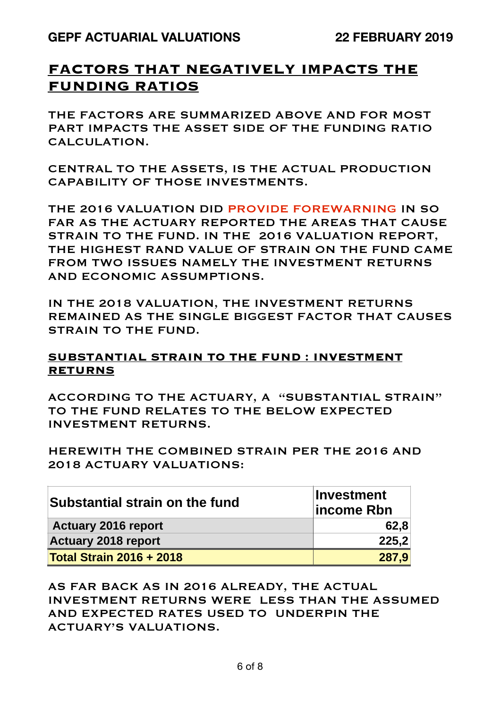## **FACTORS THAT NEGATIVELY IMPACTS THE FUNDING RATIOS**

THE FACTORS ARE SUMMARIZED ABOVE AND FOR MOST PART IMPACTS THE ASSET SIDE OF THE FUNDING RATIO CALCULATION.

CENTRAL TO THE ASSETS, IS THE ACTUAL PRODUCTION CAPABILITY OF THOSE INVESTMENTS.

THE 2016 VALUATION DID PROVIDE FOREWARNING IN SO FAR AS THE ACTUARY REPORTED THE AREAS THAT CAUSE STRAIN TO THE FUND. IN THE 2016 VALUATION REPORT, THE HIGHEST RAND VALUE OF STRAIN ON THE FUND CAME FROM TWO ISSUES NAMELY THE INVESTMENT RETURNS AND ECONOMIC ASSUMPTIONS.

IN THE 2018 VALUATION, THE INVESTMENT RETURNS REMAINED AS THE SINGLE BIGGEST FACTOR THAT CAUSES STRAIN TO THE FUND.

### **SUBSTANTIAL STRAIN TO THE FUND : INVESTMENT RETURNS**

ACCORDING TO THE ACTUARY, A "SUBSTANTIAL STRAIN" TO THE FUND RELATES TO THE BELOW EXPECTED INVESTMENT RETURNS.

HEREWITH THE COMBINED STRAIN PER THE 2016 AND 2018 ACTUARY VALUATIONS:

| Substantial strain on the fund  | <b>Investment</b><br>lincome Rbn |  |  |
|---------------------------------|----------------------------------|--|--|
| <b>Actuary 2016 report</b>      | 62,8                             |  |  |
| <b>Actuary 2018 report</b>      | 225,2                            |  |  |
| <b>Total Strain 2016 + 2018</b> | 287.9                            |  |  |

AS FAR BACK AS IN 2016 ALREADY, THE ACTUAL INVESTMENT RETURNS WERE LESS THAN THE ASSUMED AND EXPECTED RATES USED TO UNDERPIN THE ACTUARY'S VALUATIONS.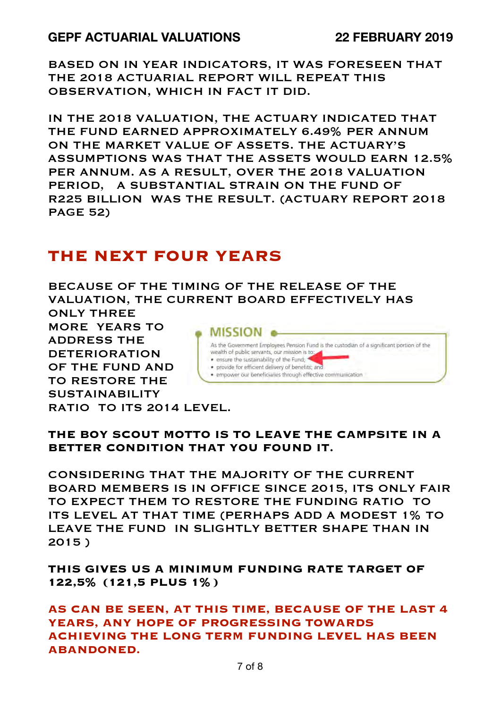BASED ON IN YEAR INDICATORS, IT WAS FORESEEN THAT THE 2018 ACTUARIAL REPORT WILL REPEAT THIS OBSERVATION, WHICH IN FACT IT DID.

IN THE 2018 VALUATION, THE ACTUARY INDICATED THAT THE FUND EARNED APPROXIMATELY 6.49% PER ANNUM ON THE MARKET VALUE OF ASSETS. THE ACTUARY'S ASSUMPTIONS WAS THAT THE ASSETS WOULD EARN 12.5% PER ANNUM. AS A RESULT, OVER THE 2018 VALUATION PERIOD, A SUBSTANTIAL STRAIN ON THE FUND OF R225 BILLION WAS THE RESULT. (ACTUARY REPORT 2018 PAGE 52)

# **THE NEXT FOUR YEARS**

BECAUSE OF THE TIMING OF THE RELEASE OF THE VALUATION, THE CURRENT BOARD EFFECTIVELY HAS

ONLY THREE MORE YEARS TO ADDRESS THE DETERIORATION OF THE FUND AND TO RESTORE THE SUSTAINABILITY RATIO TO ITS 2014 LEVEL.



**THE BOY SCOUT MOTTO IS TO LEAVE THE CAMPSITE IN A BETTER CONDITION THAT YOU FOUND IT.** 

CONSIDERING THAT THE MAJORITY OF THE CURRENT BOARD MEMBERS IS IN OFFICE SINCE 2015, ITS ONLY FAIR TO EXPECT THEM TO RESTORE THE FUNDING RATIO TO ITS LEVEL AT THAT TIME (PERHAPS ADD A MODEST 1% TO LEAVE THE FUND IN SLIGHTLY BETTER SHAPE THAN IN 2015 )

**THIS GIVES US A MINIMUM FUNDING RATE TARGET OF 122,5% (121,5 PLUS 1%)** 

**AS CAN BE SEEN, AT THIS TIME, BECAUSE OF THE LAST 4 YEARS, ANY HOPE OF PROGRESSING TOWARDS ACHIEVING THE LONG TERM FUNDING LEVEL HAS BEEN ABANDONED.**